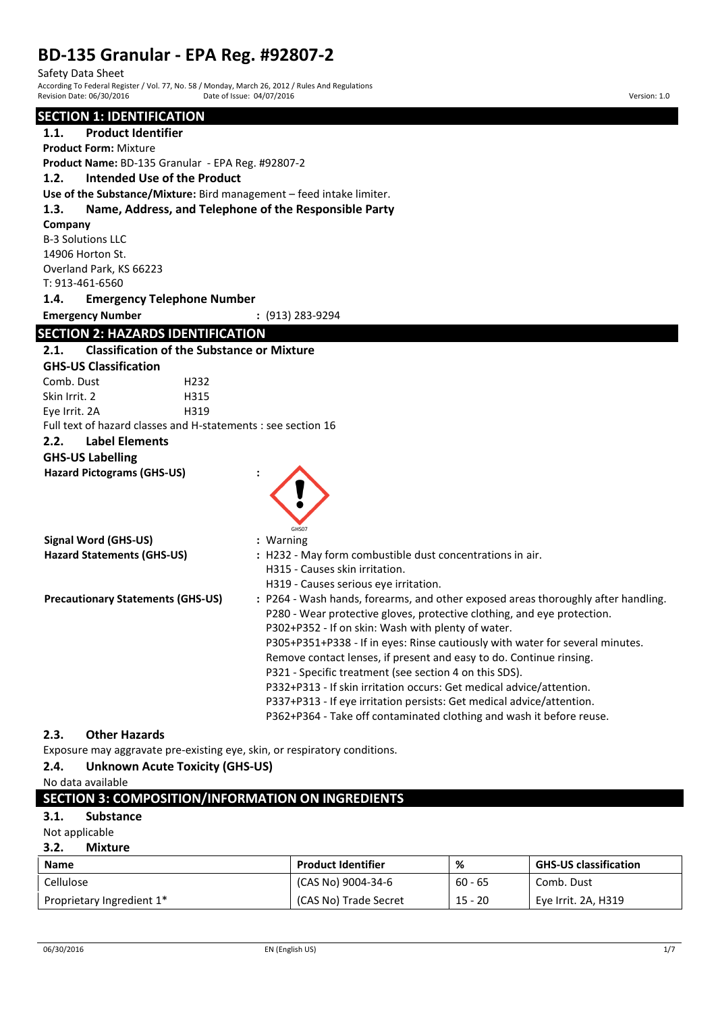# **BD-135 Granular - EPA Reg. #92807-2**

Safety Data Sheet

According To Federal Register / Vol. 77, No. 58 / Monday, March 26, 2012 / Rules And Regulations Revision Date: 06/30/2016 **Date: 06/30/2016** Date: 04/07/2016 **Date: 06/10/2016** Version: 1.0

# **SECTION 1: IDENTIFICATION**

| <u>SECTIUN I. IDENTIFICATIUN</u>                                     |                                                                                   |
|----------------------------------------------------------------------|-----------------------------------------------------------------------------------|
| 1.1.<br><b>Product Identifier</b>                                    |                                                                                   |
| <b>Product Form: Mixture</b>                                         |                                                                                   |
| Product Name: BD-135 Granular - EPA Reg. #92807-2                    |                                                                                   |
| <b>Intended Use of the Product</b><br>1.2.                           |                                                                                   |
| Use of the Substance/Mixture: Bird management - feed intake limiter. |                                                                                   |
| Name, Address, and Telephone of the Responsible Party<br>1.3.        |                                                                                   |
| Company                                                              |                                                                                   |
| <b>B-3 Solutions LLC</b>                                             |                                                                                   |
| 14906 Horton St.                                                     |                                                                                   |
| Overland Park, KS 66223                                              |                                                                                   |
| T: 913-461-6560                                                      |                                                                                   |
| 1.4.<br><b>Emergency Telephone Number</b>                            |                                                                                   |
| <b>Emergency Number</b>                                              | $: (913) 283 - 9294$                                                              |
| <b>SECTION 2: HAZARDS IDENTIFICATION</b>                             |                                                                                   |
| <b>Classification of the Substance or Mixture</b><br>2.1.            |                                                                                   |
| <b>GHS-US Classification</b>                                         |                                                                                   |
| Comb. Dust<br>H <sub>232</sub>                                       |                                                                                   |
| Skin Irrit. 2<br>H315                                                |                                                                                   |
| Eye Irrit. 2A<br>H319                                                |                                                                                   |
| Full text of hazard classes and H-statements : see section 16        |                                                                                   |
| 2.2.<br><b>Label Elements</b>                                        |                                                                                   |
| <b>GHS-US Labelling</b>                                              |                                                                                   |
| <b>Hazard Pictograms (GHS-US)</b>                                    |                                                                                   |
|                                                                      |                                                                                   |
|                                                                      |                                                                                   |
|                                                                      |                                                                                   |
| <b>Signal Word (GHS-US)</b>                                          | : Warning                                                                         |
| <b>Hazard Statements (GHS-US)</b>                                    | : H232 - May form combustible dust concentrations in air.                         |
|                                                                      | H315 - Causes skin irritation.                                                    |
|                                                                      | H319 - Causes serious eye irritation.                                             |
| <b>Precautionary Statements (GHS-US)</b>                             | : P264 - Wash hands, forearms, and other exposed areas thoroughly after handling. |
|                                                                      | P280 - Wear protective gloves, protective clothing, and eye protection.           |
|                                                                      | P302+P352 - If on skin: Wash with plenty of water.                                |
|                                                                      | P305+P351+P338 - If in eyes: Rinse cautiously with water for several minutes.     |
|                                                                      | Remove contact lenses, if present and easy to do. Continue rinsing.               |
|                                                                      | P321 - Specific treatment (see section 4 on this SDS).                            |
|                                                                      | P332+P313 - If skin irritation occurs: Get medical advice/attention.              |
|                                                                      | P337+P313 - If eye irritation persists: Get medical advice/attention.             |
|                                                                      | P362+P364 - Take off contaminated clothing and wash it before reuse.              |
| 2.3.<br><b>Other Hazards</b>                                         |                                                                                   |

Exposure may aggravate pre-existing eye, skin, or respiratory conditions.

### **2.4. Unknown Acute Toxicity (GHS-US)**

No data available

| <b>SECTION 3: COMPOSITION/INFORMATION ON INGREDIENTS</b> |
|----------------------------------------------------------|
|----------------------------------------------------------|

### **3.1. Substance**

Not applicable

### **3.2. Mixture**

| <b>Name</b>                           | <b>Product Identifier</b> | %         | <b>GHS-US classification</b> |
|---------------------------------------|---------------------------|-----------|------------------------------|
| Cellulose                             | (CAS No) 9004-34-6        | $60 - 65$ | Comb. Dust                   |
| Proprietary Ingredient 1 <sup>*</sup> | (CAS No) Trade Secret     | $15 - 20$ | Eye Irrit. 2A, H319          |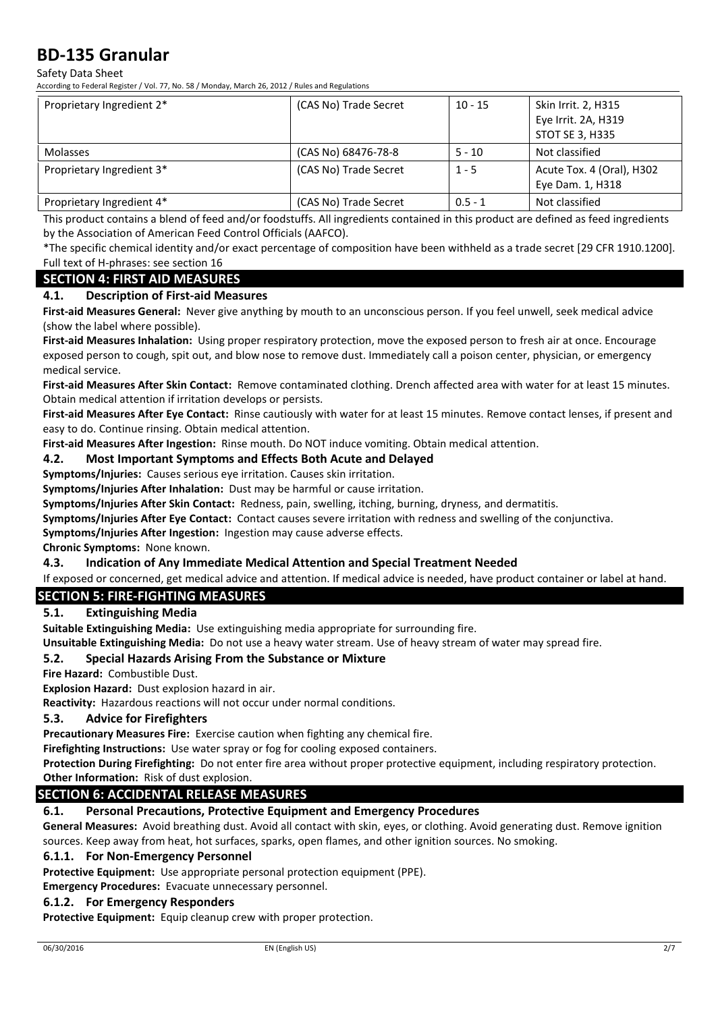Safety Data Sheet

According to Federal Register / Vol. 77, No. 58 / Monday, March 26, 2012 / Rules and Regulations

| Proprietary Ingredient 2* | (CAS No) Trade Secret | $10 - 15$ | Skin Irrit. 2, H315<br>Eye Irrit. 2A, H319<br><b>STOT SE 3, H335</b> |
|---------------------------|-----------------------|-----------|----------------------------------------------------------------------|
| Molasses                  | (CAS No) 68476-78-8   | $5 - 10$  | Not classified                                                       |
| Proprietary Ingredient 3* | (CAS No) Trade Secret | $1 - 5$   | Acute Tox. 4 (Oral), H302<br>Eye Dam. 1, H318                        |
| Proprietary Ingredient 4* | (CAS No) Trade Secret | $0.5 - 1$ | Not classified                                                       |

This product contains a blend of feed and/or foodstuffs. All ingredients contained in this product are defined as feed ingredients by the Association of American Feed Control Officials (AAFCO).

\*The specific chemical identity and/or exact percentage of composition have been withheld as a trade secret [29 CFR 1910.1200]. Full text of H-phrases: see section 16

### **SECTION 4: FIRST AID MEASURES**

### **4.1. Description of First-aid Measures**

**First-aid Measures General:** Never give anything by mouth to an unconscious person. If you feel unwell, seek medical advice (show the label where possible).

**First-aid Measures Inhalation:** Using proper respiratory protection, move the exposed person to fresh air at once. Encourage exposed person to cough, spit out, and blow nose to remove dust. Immediately call a poison center, physician, or emergency medical service.

**First-aid Measures After Skin Contact:** Remove contaminated clothing. Drench affected area with water for at least 15 minutes. Obtain medical attention if irritation develops or persists.

**First-aid Measures After Eye Contact:** Rinse cautiously with water for at least 15 minutes. Remove contact lenses, if present and easy to do. Continue rinsing. Obtain medical attention.

**First-aid Measures After Ingestion:** Rinse mouth. Do NOT induce vomiting. Obtain medical attention.

### **4.2. Most Important Symptoms and Effects Both Acute and Delayed**

**Symptoms/Injuries:** Causes serious eye irritation. Causes skin irritation.

**Symptoms/Injuries After Inhalation:** Dust may be harmful or cause irritation.

**Symptoms/Injuries After Skin Contact:** Redness, pain, swelling, itching, burning, dryness, and dermatitis.

**Symptoms/Injuries After Eye Contact:** Contact causes severe irritation with redness and swelling of the conjunctiva.

**Symptoms/Injuries After Ingestion:** Ingestion may cause adverse effects.

**Chronic Symptoms:** None known.

### **4.3. Indication of Any Immediate Medical Attention and Special Treatment Needed**

If exposed or concerned, get medical advice and attention. If medical advice is needed, have product container or label at hand.

### **SECTION 5: FIRE-FIGHTING MEASURES**

### **5.1. Extinguishing Media**

**Suitable Extinguishing Media:** Use extinguishing media appropriate for surrounding fire.

**Unsuitable Extinguishing Media:** Do not use a heavy water stream. Use of heavy stream of water may spread fire.

### **5.2. Special Hazards Arising From the Substance or Mixture**

**Fire Hazard:** Combustible Dust.

**Explosion Hazard:** Dust explosion hazard in air.

**Reactivity:** Hazardous reactions will not occur under normal conditions.

### **5.3. Advice for Firefighters**

**Precautionary Measures Fire:** Exercise caution when fighting any chemical fire.

**Firefighting Instructions:** Use water spray or fog for cooling exposed containers.

**Protection During Firefighting:** Do not enter fire area without proper protective equipment, including respiratory protection.

**Other Information:** Risk of dust explosion.

## **SECTION 6: ACCIDENTAL RELEASE MEASURES**

### **6.1. Personal Precautions, Protective Equipment and Emergency Procedures**

**General Measures:** Avoid breathing dust. Avoid all contact with skin, eyes, or clothing. Avoid generating dust. Remove ignition sources. Keep away from heat, hot surfaces, sparks, open flames, and other ignition sources. No smoking.

### **6.1.1. For Non-Emergency Personnel**

**Protective Equipment:** Use appropriate personal protection equipment (PPE).

**Emergency Procedures:** Evacuate unnecessary personnel.

### **6.1.2. For Emergency Responders**

**Protective Equipment:** Equip cleanup crew with proper protection.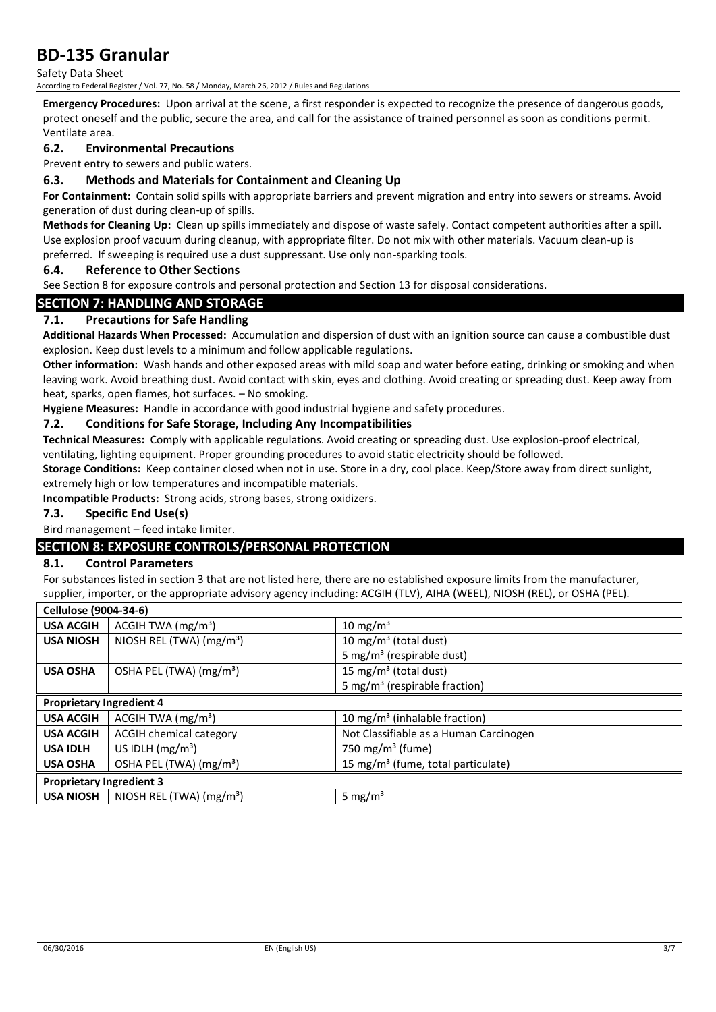Safety Data Sheet

According to Federal Register / Vol. 77, No. 58 / Monday, March 26, 2012 / Rules and Regulations

**Emergency Procedures:** Upon arrival at the scene, a first responder is expected to recognize the presence of dangerous goods, protect oneself and the public, secure the area, and call for the assistance of trained personnel as soon as conditions permit. Ventilate area.

### **6.2. Environmental Precautions**

Prevent entry to sewers and public waters.

### **6.3. Methods and Materials for Containment and Cleaning Up**

**For Containment:** Contain solid spills with appropriate barriers and prevent migration and entry into sewers or streams. Avoid generation of dust during clean-up of spills.

**Methods for Cleaning Up:** Clean up spills immediately and dispose of waste safely. Contact competent authorities after a spill. Use explosion proof vacuum during cleanup, with appropriate filter. Do not mix with other materials. Vacuum clean-up is preferred. If sweeping is required use a dust suppressant. Use only non-sparking tools.

#### **6.4. Reference to Other Sections**

See Section 8 for exposure controls and personal protection and Section 13 for disposal considerations.

### **SECTION 7: HANDLING AND STORAGE**

### **7.1. Precautions for Safe Handling**

**Additional Hazards When Processed:** Accumulation and dispersion of dust with an ignition source can cause a combustible dust explosion. Keep dust levels to a minimum and follow applicable regulations.

**Other information:** Wash hands and other exposed areas with mild soap and water before eating, drinking or smoking and when leaving work. Avoid breathing dust. Avoid contact with skin, eyes and clothing. Avoid creating or spreading dust. Keep away from heat, sparks, open flames, hot surfaces. – No smoking.

**Hygiene Measures:** Handle in accordance with good industrial hygiene and safety procedures.

### **7.2. Conditions for Safe Storage, Including Any Incompatibilities**

**Technical Measures:** Comply with applicable regulations. Avoid creating or spreading dust. Use explosion-proof electrical, ventilating, lighting equipment. Proper grounding procedures to avoid static electricity should be followed.

**Storage Conditions:** Keep container closed when not in use. Store in a dry, cool place. Keep/Store away from direct sunlight, extremely high or low temperatures and incompatible materials.

**Incompatible Products:** Strong acids, strong bases, strong oxidizers.

### **7.3. Specific End Use(s)**

Bird management – feed intake limiter.

### **SECTION 8: EXPOSURE CONTROLS/PERSONAL PROTECTION**

### **8.1. Control Parameters**

For substances listed in section 3 that are not listed here, there are no established exposure limits from the manufacturer, supplier, importer, or the appropriate advisory agency including: ACGIH (TLV), AIHA (WEEL), NIOSH (REL), or OSHA (PEL).

| Cellulose (9004-34-6)           |                                      |                                                |
|---------------------------------|--------------------------------------|------------------------------------------------|
| <b>USA ACGIH</b>                | ACGIH TWA $(mg/m3)$                  | 10 mg/m <sup>3</sup>                           |
| <b>USA NIOSH</b>                | NIOSH REL (TWA) $(mg/m3)$            | 10 mg/m <sup>3</sup> (total dust)              |
|                                 |                                      | 5 mg/m <sup>3</sup> (respirable dust)          |
| <b>USA OSHA</b>                 | OSHA PEL (TWA) (mg/m <sup>3</sup> )  | 15 mg/m <sup>3</sup> (total dust)              |
|                                 |                                      | 5 mg/m <sup>3</sup> (respirable fraction)      |
| <b>Proprietary Ingredient 4</b> |                                      |                                                |
| <b>USA ACGIH</b>                | ACGIH TWA $(mg/m3)$                  | 10 mg/m <sup>3</sup> (inhalable fraction)      |
| <b>USA ACGIH</b>                | <b>ACGIH chemical category</b>       | Not Classifiable as a Human Carcinogen         |
| <b>USA IDLH</b>                 | US IDLH $(mg/m3)$                    | 750 mg/m <sup>3</sup> (fume)                   |
| <b>USA OSHA</b>                 | OSHA PEL (TWA) (mg/m <sup>3</sup> )  | 15 mg/m <sup>3</sup> (fume, total particulate) |
| <b>Proprietary Ingredient 3</b> |                                      |                                                |
| <b>USA NIOSH</b>                | NIOSH REL (TWA) (mg/m <sup>3</sup> ) | 5 mg/ $m3$                                     |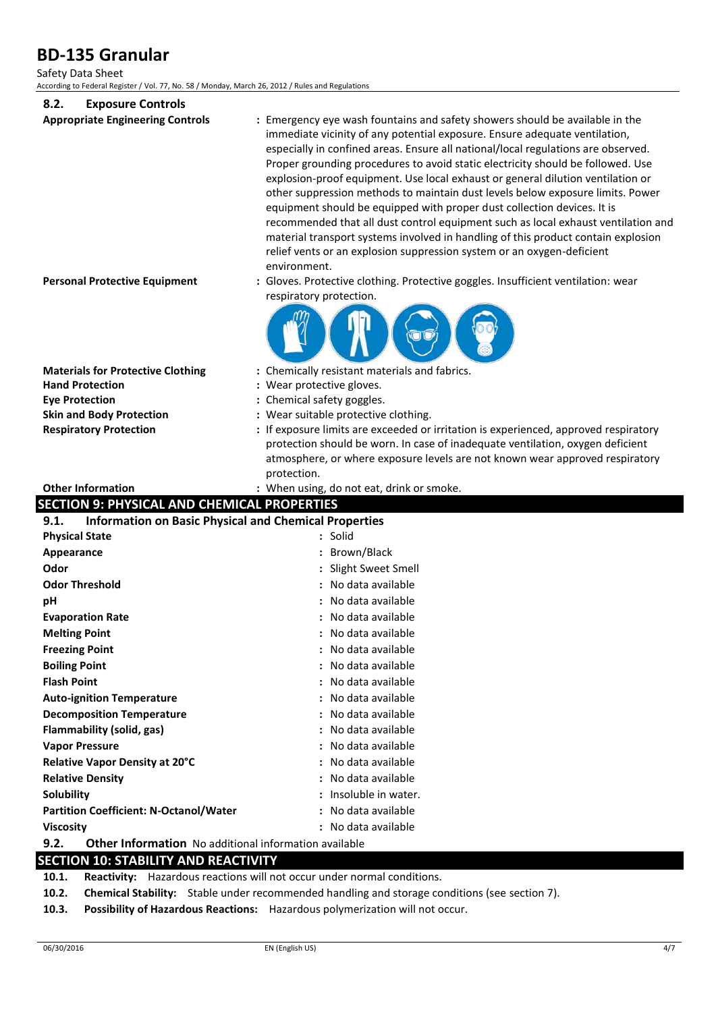### Safety Data Sheet

According to Federal Register / Vol. 77, No. 58 / Monday, March 26, 2012 / Rules and Regulations

| 8.2.<br><b>Exposure Controls</b>                                                |                                                                                                                                                                                                                                                                                                                                                                                                                                                                                                                                                                                                                                                                                                                                                                                                                                                                                                                                                                        |
|---------------------------------------------------------------------------------|------------------------------------------------------------------------------------------------------------------------------------------------------------------------------------------------------------------------------------------------------------------------------------------------------------------------------------------------------------------------------------------------------------------------------------------------------------------------------------------------------------------------------------------------------------------------------------------------------------------------------------------------------------------------------------------------------------------------------------------------------------------------------------------------------------------------------------------------------------------------------------------------------------------------------------------------------------------------|
| <b>Appropriate Engineering Controls</b><br><b>Personal Protective Equipment</b> | : Emergency eye wash fountains and safety showers should be available in the<br>immediate vicinity of any potential exposure. Ensure adequate ventilation,<br>especially in confined areas. Ensure all national/local regulations are observed.<br>Proper grounding procedures to avoid static electricity should be followed. Use<br>explosion-proof equipment. Use local exhaust or general dilution ventilation or<br>other suppression methods to maintain dust levels below exposure limits. Power<br>equipment should be equipped with proper dust collection devices. It is<br>recommended that all dust control equipment such as local exhaust ventilation and<br>material transport systems involved in handling of this product contain explosion<br>relief vents or an explosion suppression system or an oxygen-deficient<br>environment.<br>: Gloves. Protective clothing. Protective goggles. Insufficient ventilation: wear<br>respiratory protection. |
|                                                                                 |                                                                                                                                                                                                                                                                                                                                                                                                                                                                                                                                                                                                                                                                                                                                                                                                                                                                                                                                                                        |
| <b>Materials for Protective Clothing</b>                                        | : Chemically resistant materials and fabrics.                                                                                                                                                                                                                                                                                                                                                                                                                                                                                                                                                                                                                                                                                                                                                                                                                                                                                                                          |
| <b>Hand Protection</b>                                                          | : Wear protective gloves.                                                                                                                                                                                                                                                                                                                                                                                                                                                                                                                                                                                                                                                                                                                                                                                                                                                                                                                                              |
| <b>Eye Protection</b>                                                           | : Chemical safety goggles.                                                                                                                                                                                                                                                                                                                                                                                                                                                                                                                                                                                                                                                                                                                                                                                                                                                                                                                                             |
| <b>Skin and Body Protection</b>                                                 | : Wear suitable protective clothing.                                                                                                                                                                                                                                                                                                                                                                                                                                                                                                                                                                                                                                                                                                                                                                                                                                                                                                                                   |
| <b>Respiratory Protection</b>                                                   | : If exposure limits are exceeded or irritation is experienced, approved respiratory<br>protection should be worn. In case of inadequate ventilation, oxygen deficient                                                                                                                                                                                                                                                                                                                                                                                                                                                                                                                                                                                                                                                                                                                                                                                                 |
|                                                                                 | atmosphere, or where exposure levels are not known wear approved respiratory                                                                                                                                                                                                                                                                                                                                                                                                                                                                                                                                                                                                                                                                                                                                                                                                                                                                                           |
|                                                                                 | protection.                                                                                                                                                                                                                                                                                                                                                                                                                                                                                                                                                                                                                                                                                                                                                                                                                                                                                                                                                            |
|                                                                                 |                                                                                                                                                                                                                                                                                                                                                                                                                                                                                                                                                                                                                                                                                                                                                                                                                                                                                                                                                                        |
| <b>Other Information</b>                                                        | : When using, do not eat, drink or smoke.                                                                                                                                                                                                                                                                                                                                                                                                                                                                                                                                                                                                                                                                                                                                                                                                                                                                                                                              |
| <b>SECTION 9: PHYSICAL AND CHEMICAL PROPERTIES</b>                              |                                                                                                                                                                                                                                                                                                                                                                                                                                                                                                                                                                                                                                                                                                                                                                                                                                                                                                                                                                        |
| <b>Information on Basic Physical and Chemical Properties</b><br>9.1.            |                                                                                                                                                                                                                                                                                                                                                                                                                                                                                                                                                                                                                                                                                                                                                                                                                                                                                                                                                                        |
| <b>Physical State</b>                                                           | : Solid                                                                                                                                                                                                                                                                                                                                                                                                                                                                                                                                                                                                                                                                                                                                                                                                                                                                                                                                                                |
| Appearance                                                                      | : Brown/Black                                                                                                                                                                                                                                                                                                                                                                                                                                                                                                                                                                                                                                                                                                                                                                                                                                                                                                                                                          |
| Odor                                                                            | : Slight Sweet Smell                                                                                                                                                                                                                                                                                                                                                                                                                                                                                                                                                                                                                                                                                                                                                                                                                                                                                                                                                   |
| <b>Odor Threshold</b>                                                           | : No data available                                                                                                                                                                                                                                                                                                                                                                                                                                                                                                                                                                                                                                                                                                                                                                                                                                                                                                                                                    |
| рH                                                                              | : No data available                                                                                                                                                                                                                                                                                                                                                                                                                                                                                                                                                                                                                                                                                                                                                                                                                                                                                                                                                    |
| <b>Evaporation Rate</b>                                                         | : No data available                                                                                                                                                                                                                                                                                                                                                                                                                                                                                                                                                                                                                                                                                                                                                                                                                                                                                                                                                    |
| <b>Melting Point</b>                                                            | No data available                                                                                                                                                                                                                                                                                                                                                                                                                                                                                                                                                                                                                                                                                                                                                                                                                                                                                                                                                      |
| <b>Freezing Point</b>                                                           | : No data available                                                                                                                                                                                                                                                                                                                                                                                                                                                                                                                                                                                                                                                                                                                                                                                                                                                                                                                                                    |
| <b>Boiling Point</b>                                                            | : No data available                                                                                                                                                                                                                                                                                                                                                                                                                                                                                                                                                                                                                                                                                                                                                                                                                                                                                                                                                    |
| <b>Flash Point</b>                                                              | : No data available                                                                                                                                                                                                                                                                                                                                                                                                                                                                                                                                                                                                                                                                                                                                                                                                                                                                                                                                                    |
| <b>Auto-ignition Temperature</b>                                                | : No data available                                                                                                                                                                                                                                                                                                                                                                                                                                                                                                                                                                                                                                                                                                                                                                                                                                                                                                                                                    |
| <b>Decomposition Temperature</b>                                                | No data available                                                                                                                                                                                                                                                                                                                                                                                                                                                                                                                                                                                                                                                                                                                                                                                                                                                                                                                                                      |
| Flammability (solid, gas)                                                       | : No data available                                                                                                                                                                                                                                                                                                                                                                                                                                                                                                                                                                                                                                                                                                                                                                                                                                                                                                                                                    |
| <b>Vapor Pressure</b>                                                           | No data available                                                                                                                                                                                                                                                                                                                                                                                                                                                                                                                                                                                                                                                                                                                                                                                                                                                                                                                                                      |
| Relative Vapor Density at 20°C                                                  | No data available                                                                                                                                                                                                                                                                                                                                                                                                                                                                                                                                                                                                                                                                                                                                                                                                                                                                                                                                                      |
| <b>Relative Density</b>                                                         | No data available                                                                                                                                                                                                                                                                                                                                                                                                                                                                                                                                                                                                                                                                                                                                                                                                                                                                                                                                                      |
| Solubility                                                                      | : Insoluble in water.                                                                                                                                                                                                                                                                                                                                                                                                                                                                                                                                                                                                                                                                                                                                                                                                                                                                                                                                                  |
| <b>Partition Coefficient: N-Octanol/Water</b><br><b>Viscosity</b>               | No data available<br>: No data available                                                                                                                                                                                                                                                                                                                                                                                                                                                                                                                                                                                                                                                                                                                                                                                                                                                                                                                               |

# **9.2. Other Information** No additional information available

# **SECTION 10: STABILITY AND REACTIVITY**

**10.1. Reactivity:** Hazardous reactions will not occur under normal conditions.

**10.2. Chemical Stability:** Stable under recommended handling and storage conditions (see section 7).

**10.3. Possibility of Hazardous Reactions:** Hazardous polymerization will not occur.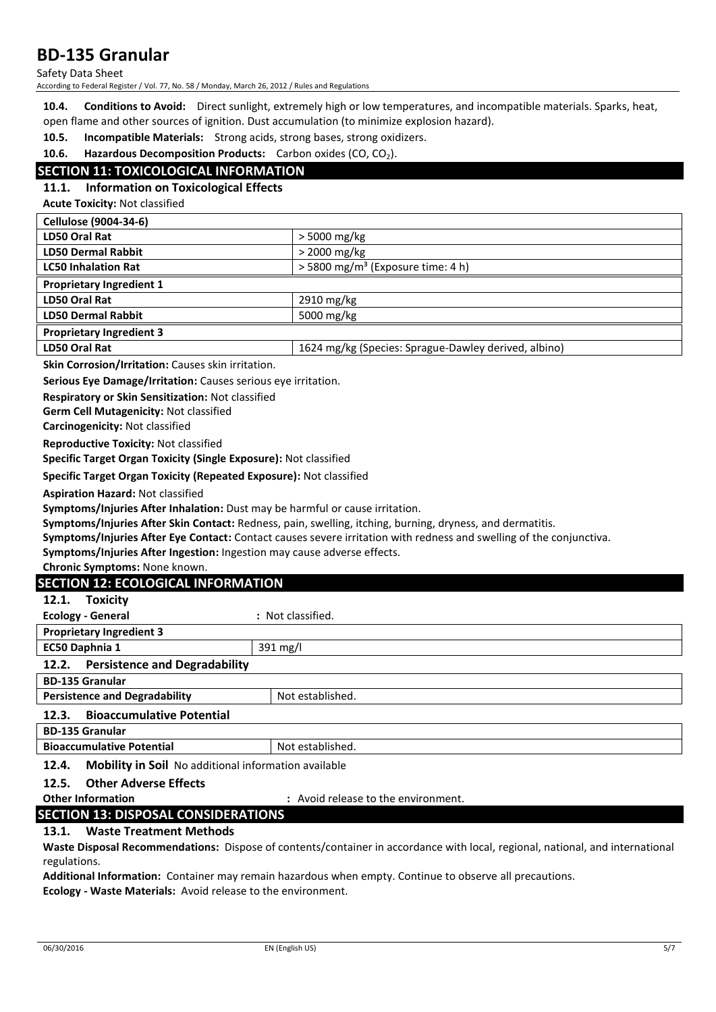Safety Data Sheet

According to Federal Register / Vol. 77, No. 58 / Monday, March 26, 2012 / Rules and Regulations

**10.4. Conditions to Avoid:** Direct sunlight, extremely high or low temperatures, and incompatible materials. Sparks, heat, open flame and other sources of ignition. Dust accumulation (to minimize explosion hazard).

**10.5. Incompatible Materials:** Strong acids, strong bases, strong oxidizers.

**10.6. Hazardous Decomposition Products:** Carbon oxides (CO, CO<sub>2</sub>).

### **SECTION 11: TOXICOLOGICAL INFORMATION**

### **11.1. Information on Toxicological Effects**

**Acute Toxicity:** Not classified

| <b>Cellulose (9004-34-6)</b>    |                                                      |
|---------------------------------|------------------------------------------------------|
| LD50 Oral Rat                   | > 5000 mg/kg                                         |
| <b>LD50 Dermal Rabbit</b>       | $>$ 2000 mg/kg                                       |
| <b>LC50 Inhalation Rat</b>      | $>$ 5800 mg/m <sup>3</sup> (Exposure time: 4 h)      |
| <b>Proprietary Ingredient 1</b> |                                                      |
| LD50 Oral Rat                   | 2910 mg/kg                                           |
| <b>LD50 Dermal Rabbit</b>       | 5000 mg/kg                                           |
| <b>Proprietary Ingredient 3</b> |                                                      |
| LD50 Oral Rat                   | 1624 mg/kg (Species: Sprague-Dawley derived, albino) |

**Skin Corrosion/Irritation:** Causes skin irritation.

**Serious Eye Damage/Irritation:** Causes serious eye irritation.

**Respiratory or Skin Sensitization:** Not classified

**Germ Cell Mutagenicity:** Not classified

**Carcinogenicity:** Not classified

**Reproductive Toxicity:** Not classified

**Specific Target Organ Toxicity (Single Exposure):** Not classified

**Specific Target Organ Toxicity (Repeated Exposure):** Not classified

**Aspiration Hazard:** Not classified

**Symptoms/Injuries After Inhalation:** Dust may be harmful or cause irritation.

**Symptoms/Injuries After Skin Contact:** Redness, pain, swelling, itching, burning, dryness, and dermatitis.

**Symptoms/Injuries After Eye Contact:** Contact causes severe irritation with redness and swelling of the conjunctiva.

**Symptoms/Injuries After Ingestion:** Ingestion may cause adverse effects.

**Chronic Symptoms:** None known.

### **SECTION 12: ECOLOGICAL INFORMATION**

| <b>Toxicity</b><br>12.1.                                             |                   |  |
|----------------------------------------------------------------------|-------------------|--|
| <b>Ecology - General</b>                                             | : Not classified. |  |
| <b>Proprietary Ingredient 3</b>                                      |                   |  |
| EC50 Daphnia 1                                                       | 391 mg/l          |  |
| <b>Persistence and Degradability</b><br>12.2.                        |                   |  |
| <b>BD-135 Granular</b>                                               |                   |  |
| <b>Persistence and Degradability</b><br>Not established.             |                   |  |
| <b>Bioaccumulative Potential</b><br>12.3.                            |                   |  |
| <b>BD-135 Granular</b>                                               |                   |  |
| <b>Bioaccumulative Potential</b><br>Not established.                 |                   |  |
| <b>Mobility in Soil</b> No additional information available<br>12.4. |                   |  |

### **12.5. Other Adverse Effects**

**Other Information :** Avoid release to the environment.

### **SECTION 13: DISPOSAL CONSIDERATIONS**

### **13.1. Waste Treatment Methods**

**Waste Disposal Recommendations:** Dispose of contents/container in accordance with local, regional, national, and international regulations.

**Additional Information:** Container may remain hazardous when empty. Continue to observe all precautions. **Ecology - Waste Materials:** Avoid release to the environment.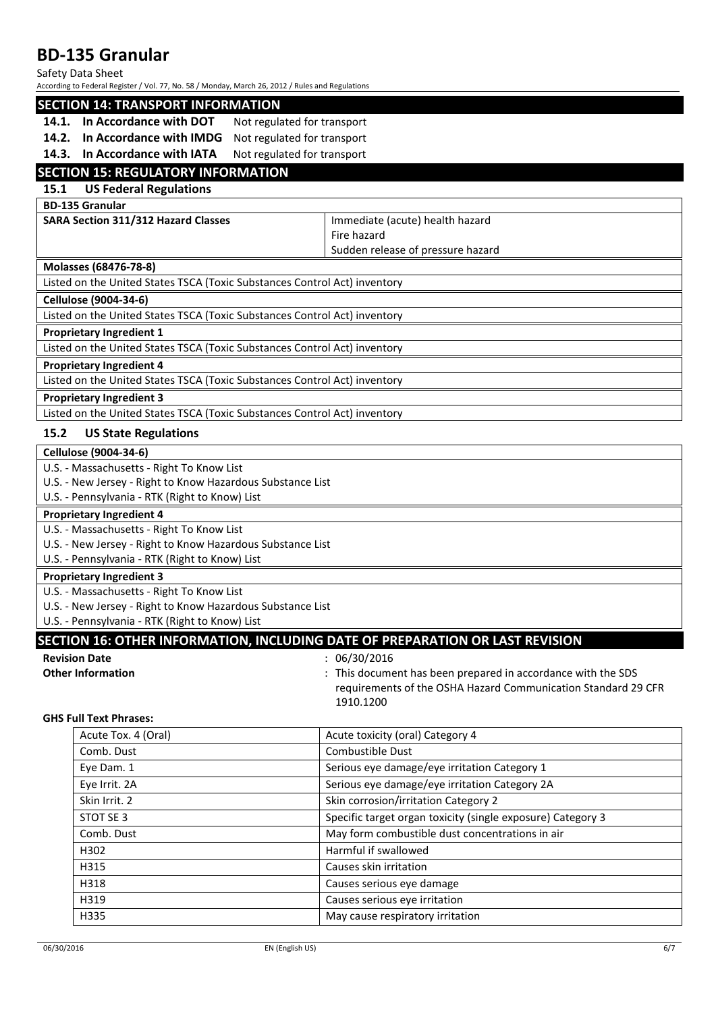#### Safety Data Sheet

According to Federal Register / Vol. 77, No. 58 / Monday, March 26, 2012 / Rules and Regulations

### **SECTION 14: TRANSPORT INFORMATION**

- 14.1. In Accordance with DOT Not regulated for transport
- **14.2. In Accordance with IMDG** Not regulated for transport
- 14.3. In Accordance with IATA Not regulated for transport

## **SECTION 15: REGULATORY INFORMATION**

### **15.1 US Federal Regulations**

**BD-135 Granular**

**SARA Section 311/312 Hazard Classes** Immediate (acute) health hazard Fire hazard Sudden release of pressure hazard

#### **Molasses (68476-78-8)**

Listed on the United States TSCA (Toxic Substances Control Act) inventory

#### **Cellulose (9004-34-6)**

Listed on the United States TSCA (Toxic Substances Control Act) inventory

#### **Proprietary Ingredient 1**

Listed on the United States TSCA (Toxic Substances Control Act) inventory

#### **Proprietary Ingredient 4**

Listed on the United States TSCA (Toxic Substances Control Act) inventory

#### **Proprietary Ingredient 3**

Listed on the United States TSCA (Toxic Substances Control Act) inventory

### **15.2 US State Regulations**

# **Cellulose (9004-34-6)**

U.S. - Massachusetts - Right To Know List

U.S. - New Jersey - Right to Know Hazardous Substance List

U.S. - Pennsylvania - RTK (Right to Know) List

### **Proprietary Ingredient 4**

U.S. - Massachusetts - Right To Know List

U.S. - New Jersey - Right to Know Hazardous Substance List

U.S. - Pennsylvania - RTK (Right to Know) List

#### **Proprietary Ingredient 3**

U.S. - Massachusetts - Right To Know List

U.S. - New Jersey - Right to Know Hazardous Substance List

U.S. - Pennsylvania - RTK (Right to Know) List

### **SECTION 16: OTHER INFORMATION, INCLUDING DATE OF PREPARATION OR LAST REVISION**

# **Revision Date** : 06/30/2016

**Other Information Channel Except Englisher Information**  $\cdot$  : This document has been prepared in accordance with the SDS requirements of the OSHA Hazard Communication Standard 29 CFR 1910.1200

#### **GHS Full Text Phrases:**

| Acute Tox. 4 (Oral) | Acute toxicity (oral) Category 4                            |
|---------------------|-------------------------------------------------------------|
| Comb. Dust          | Combustible Dust                                            |
| Eve Dam. 1          | Serious eye damage/eye irritation Category 1                |
| Eye Irrit. 2A       | Serious eye damage/eye irritation Category 2A               |
| Skin Irrit. 2       | Skin corrosion/irritation Category 2                        |
| STOT SE 3           | Specific target organ toxicity (single exposure) Category 3 |
| Comb. Dust          | May form combustible dust concentrations in air             |
| H302                | Harmful if swallowed                                        |
| H315                | Causes skin irritation                                      |
| H318                | Causes serious eye damage                                   |
| H319                | Causes serious eye irritation                               |
| H335                | May cause respiratory irritation                            |